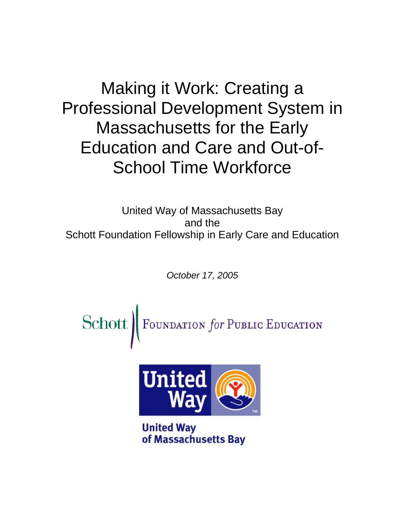Making it Work: Creating a Professional Development System in Massachusetts for the Early Education and Care and Out-of-School Time Workforce

United Way of Massachusetts Bay and the Schott Foundation Fellowship in Early Care and Education

*October 17, 2005* 

Schott | FOUNDATION for PUBLIC EDUCATION



**United Way** of Massachusetts Bay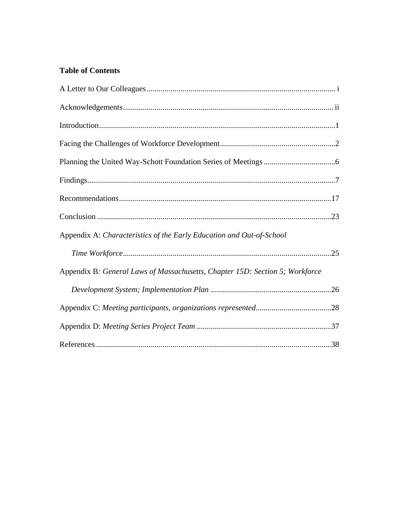# **Table of Contents**

| Appendix A: Characteristics of the Early Education and Out-of-School         |  |
|------------------------------------------------------------------------------|--|
|                                                                              |  |
| Appendix B: General Laws of Massachusetts, Chapter 15D: Section 5; Workforce |  |
|                                                                              |  |
|                                                                              |  |
|                                                                              |  |
|                                                                              |  |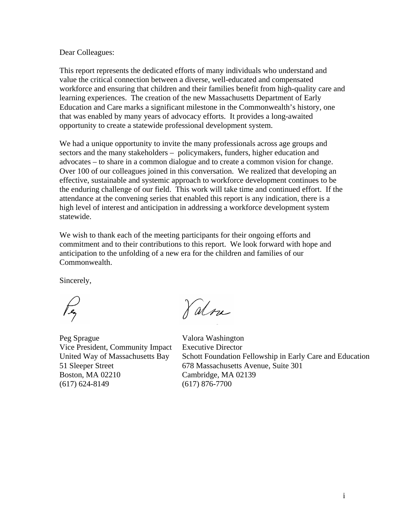#### Dear Colleagues:

This report represents the dedicated efforts of many individuals who understand and value the critical connection between a diverse, well-educated and compensated workforce and ensuring that children and their families benefit from high-quality care and learning experiences. The creation of the new Massachusetts Department of Early Education and Care marks a significant milestone in the Commonwealth's history, one that was enabled by many years of advocacy efforts. It provides a long-awaited opportunity to create a statewide professional development system.

We had a unique opportunity to invite the many professionals across age groups and sectors and the many stakeholders – policymakers, funders, higher education and advocates – to share in a common dialogue and to create a common vision for change. Over 100 of our colleagues joined in this conversation. We realized that developing an effective, sustainable and systemic approach to workforce development continues to be the enduring challenge of our field. This work will take time and continued effort. If the attendance at the convening series that enabled this report is any indication, there is a high level of interest and anticipation in addressing a workforce development system statewide.

We wish to thank each of the meeting participants for their ongoing efforts and commitment and to their contributions to this report. We look forward with hope and anticipation to the unfolding of a new era for the children and families of our Commonwealth.

Sincerely,

Peg Sprague Valora Washington Vice President, Community Impact Executive Director Boston, MA 02210 Cambridge, MA 02139 (617) 624-8149 (617) 876-7700

Valou

United Way of Massachusetts Bay Schott Foundation Fellowship in Early Care and Education 51 Sleeper Street 678 Massachusetts Avenue, Suite 301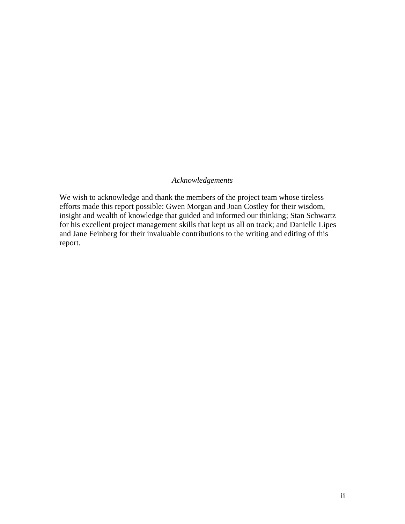## *Acknowledgements*

We wish to acknowledge and thank the members of the project team whose tireless efforts made this report possible: Gwen Morgan and Joan Costley for their wisdom, insight and wealth of knowledge that guided and informed our thinking; Stan Schwartz for his excellent project management skills that kept us all on track; and Danielle Lipes and Jane Feinberg for their invaluable contributions to the writing and editing of this report.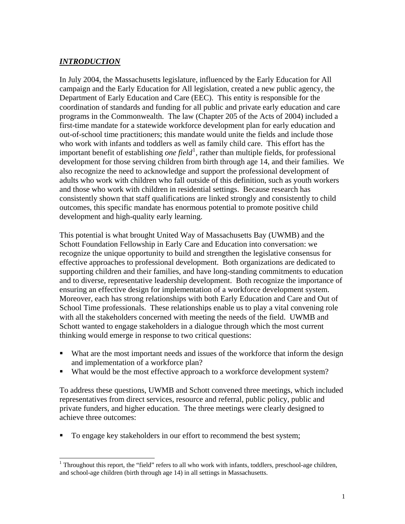## *INTRODUCTION*

 $\overline{\phantom{a}}$ 

In July 2004, the Massachusetts legislature, influenced by the Early Education for All campaign and the Early Education for All legislation, created a new public agency, the Department of Early Education and Care (EEC). This entity is responsible for the coordination of standards and funding for all public and private early education and care programs in the Commonwealth. The law (Chapter 205 of the Acts of 2004) included a first-time mandate for a statewide workforce development plan for early education and out-of-school time practitioners; this mandate would unite the fields and include those who work with infants and toddlers as well as family child care. This effort has the important benefit of establishing *one field*<sup>[1](#page-4-0)</sup>, rather than multiple fields, for professional development for those serving children from birth through age 14, and their families. We also recognize the need to acknowledge and support the professional development of adults who work with children who fall outside of this definition, such as youth workers and those who work with children in residential settings. Because research has consistently shown that staff qualifications are linked strongly and consistently to child outcomes, this specific mandate has enormous potential to promote positive child development and high-quality early learning.

This potential is what brought United Way of Massachusetts Bay (UWMB) and the Schott Foundation Fellowship in Early Care and Education into conversation: we recognize the unique opportunity to build and strengthen the legislative consensus for effective approaches to professional development. Both organizations are dedicated to supporting children and their families, and have long-standing commitments to education and to diverse, representative leadership development. Both recognize the importance of ensuring an effective design for implementation of a workforce development system. Moreover, each has strong relationships with both Early Education and Care and Out of School Time professionals. These relationships enable us to play a vital convening role with all the stakeholders concerned with meeting the needs of the field. UWMB and Schott wanted to engage stakeholders in a dialogue through which the most current thinking would emerge in response to two critical questions:

- What are the most important needs and issues of the workforce that inform the design and implementation of a workforce plan?
- What would be the most effective approach to a workforce development system?

To address these questions, UWMB and Schott convened three meetings, which included representatives from direct services, resource and referral, public policy, public and private funders, and higher education. The three meetings were clearly designed to achieve three outcomes:

To engage key stakeholders in our effort to recommend the best system;

<span id="page-4-0"></span><sup>&</sup>lt;sup>1</sup> Throughout this report, the "field" refers to all who work with infants, toddlers, preschool-age children, and school-age children (birth through age 14) in all settings in Massachusetts.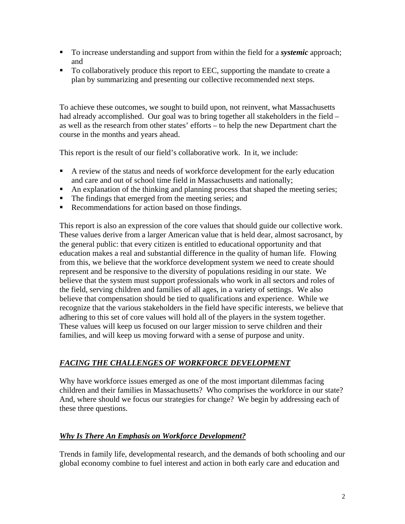- To increase understanding and support from within the field for a *systemic* approach; and
- To collaboratively produce this report to EEC, supporting the mandate to create a plan by summarizing and presenting our collective recommended next steps.

To achieve these outcomes, we sought to build upon, not reinvent, what Massachusetts had already accomplished. Our goal was to bring together all stakeholders in the field *–*  as well as the research from other states' efforts *–* to help the new Department chart the course in the months and years ahead.

This report is the result of our field's collaborative work. In it, we include:

- A review of the status and needs of workforce development for the early education and care and out of school time field in Massachusetts and nationally;
- An explanation of the thinking and planning process that shaped the meeting series;
- The findings that emerged from the meeting series; and
- Recommendations for action based on those findings.

This report is also an expression of the core values that should guide our collective work. These values derive from a larger American value that is held dear, almost sacrosanct, by the general public: that every citizen is entitled to educational opportunity and that education makes a real and substantial difference in the quality of human life. Flowing from this, we believe that the workforce development system we need to create should represent and be responsive to the diversity of populations residing in our state. We believe that the system must support professionals who work in all sectors and roles of the field, serving children and families of all ages, in a variety of settings. We also believe that compensation should be tied to qualifications and experience. While we recognize that the various stakeholders in the field have specific interests, we believe that adhering to this set of core values will hold all of the players in the system together. These values will keep us focused on our larger mission to serve children and their families, and will keep us moving forward with a sense of purpose and unity.

# *FACING THE CHALLENGES OF WORKFORCE DEVELOPMENT*

Why have workforce issues emerged as one of the most important dilemmas facing children and their families in Massachusetts? Who comprises the workforce in our state? And, where should we focus our strategies for change? We begin by addressing each of these three questions.

## *Why Is There An Emphasis on Workforce Development?*

Trends in family life, developmental research, and the demands of both schooling and our global economy combine to fuel interest and action in both early care and education and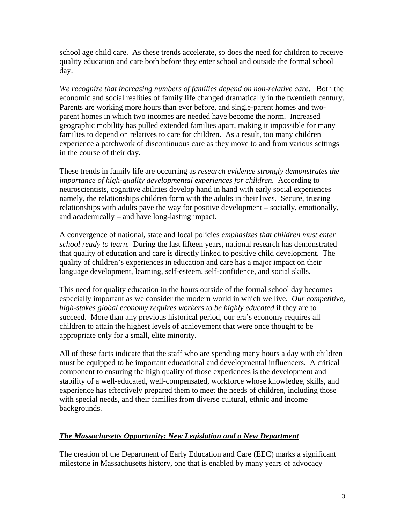school age child care. As these trends accelerate, so does the need for children to receive quality education and care both before they enter school and outside the formal school day.

*We recognize that increasing numbers of families depend on non-relative care*. Both the economic and social realities of family life changed dramatically in the twentieth century. Parents are working more hours than ever before, and single-parent homes and twoparent homes in which two incomes are needed have become the norm. Increased geographic mobility has pulled extended families apart, making it impossible for many families to depend on relatives to care for children. As a result, too many children experience a patchwork of discontinuous care as they move to and from various settings in the course of their day.

These trends in family life are occurring as *research evidence strongly demonstrates the importance of high-quality developmental experiences for children.* According to neuroscientists, cognitive abilities develop hand in hand with early social experiences – namely, the relationships children form with the adults in their lives. Secure, trusting relationships with adults pave the way for positive development – socially, emotionally, and academically – and have long-lasting impact.

A convergence of national, state and local policies *emphasizes that children must enter school ready to learn.* During the last fifteen years, national research has demonstrated that quality of education and care is directly linked to positive child development. The quality of children's experiences in education and care has a major impact on their language development, learning, self-esteem, self-confidence, and social skills.

This need for quality education in the hours outside of the formal school day becomes especially important as we consider the modern world in which we live*. Our competitive, high-stakes global economy requires workers to be highly educated* if they are to succeed. More than any previous historical period, our era's economy requires all children to attain the highest levels of achievement that were once thought to be appropriate only for a small, elite minority.

All of these facts indicate that the staff who are spending many hours a day with children must be equipped to be important educational and developmental influencers. A critical component to ensuring the high quality of those experiences is the development and stability of a well-educated, well-compensated, workforce whose knowledge, skills, and experience has effectively prepared them to meet the needs of children, including those with special needs, and their families from diverse cultural, ethnic and income backgrounds.

## *The Massachusetts Opportunity: New Legislation and a New Department*

The creation of the Department of Early Education and Care (EEC) marks a significant milestone in Massachusetts history, one that is enabled by many years of advocacy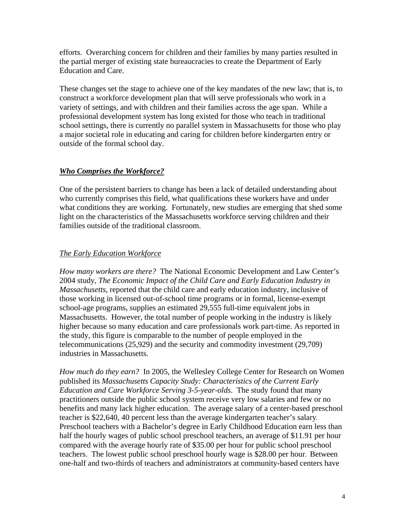efforts. Overarching concern for children and their families by many parties resulted in the partial merger of existing state bureaucracies to create the Department of Early Education and Care.

These changes set the stage to achieve one of the key mandates of the new law; that is, to construct a workforce development plan that will serve professionals who work in a variety of settings, and with children and their families across the age span. While a professional development system has long existed for those who teach in traditional school settings, there is currently no parallel system in Massachusetts for those who play a major societal role in educating and caring for children before kindergarten entry or outside of the formal school day.

## *Who Comprises the Workforce?*

One of the persistent barriers to change has been a lack of detailed understanding about who currently comprises this field, what qualifications these workers have and under what conditions they are working. Fortunately, new studies are emerging that shed some light on the characteristics of the Massachusetts workforce serving children and their families outside of the traditional classroom.

## *The Early Education Workforce*

*How many workers are there?* The National Economic Development and Law Center's 2004 study, *The Economic Impact of the Child Care and Early Education Industry in Massachusetts*, reported that the child care and early education industry, inclusive of those working in licensed out-of-school time programs or in formal, license-exempt school-age programs, supplies an estimated 29,555 full-time equivalent jobs in Massachusetts. However, the total number of people working in the industry is likely higher because so many education and care professionals work part-time. As reported in the study, this figure is comparable to the number of people employed in the telecommunications (25,929) and the security and commodity investment (29,709) industries in Massachusetts.

*How much do they earn?* In 2005, the Wellesley College Center for Research on Women published its *Massachusetts Capacity Study: Characteristics of the Current Early Education and Care Workforce Serving 3-5-year-olds*. The study found that many practitioners outside the public school system receive very low salaries and few or no benefits and many lack higher education. The average salary of a center-based preschool teacher is \$22,640, 40 percent less than the average kindergarten teacher's salary*.*  Preschool teachers with a Bachelor's degree in Early Childhood Education earn less than half the hourly wages of public school preschool teachers, an average of \$11.91 per hour compared with the average hourly rate of \$35.00 per hour for public school preschool teachers. The lowest public school preschool hourly wage is \$28.00 per hour. Between one-half and two-thirds of teachers and administrators at community-based centers have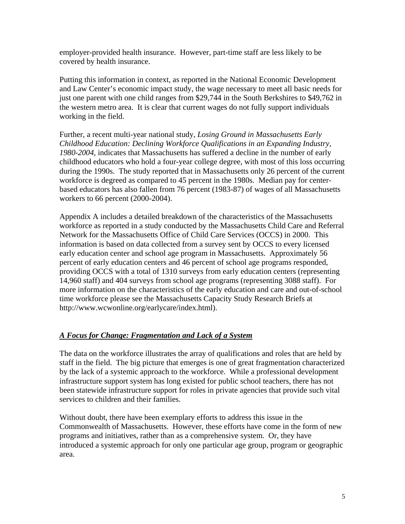employer-provided health insurance. However, part-time staff are less likely to be covered by health insurance.

Putting this information in context, as reported in the National Economic Development and Law Center's economic impact study, the wage necessary to meet all basic needs for just one parent with one child ranges from \$29,744 in the South Berkshires to \$49,762 in the western metro area. It is clear that current wages do not fully support individuals working in the field.

Further, a recent multi-year national study, *Losing Ground in Massachusetts Early Childhood Education: Declining Workforce Qualifications in an Expanding Industry, 1980-2004,* indicates that Massachusetts has suffered a decline in the number of early childhood educators who hold a four-year college degree, with most of this loss occurring during the 1990s. The study reported that in Massachusetts only 26 percent of the current workforce is degreed as compared to 45 percent in the 1980s. Median pay for centerbased educators has also fallen from 76 percent (1983-87) of wages of all Massachusetts workers to 66 percent (2000-2004).

Appendix A includes a detailed breakdown of the characteristics of the Massachusetts workforce as reported in a study conducted by the Massachusetts Child Care and Referral Network for the Massachusetts Office of Child Care Services (OCCS) in 2000. This information is based on data collected from a survey sent by OCCS to every licensed early education center and school age program in Massachusetts. Approximately 56 percent of early education centers and 46 percent of school age programs responded, providing OCCS with a total of 1310 surveys from early education centers (representing 14,960 staff) and 404 surveys from school age programs (representing 3088 staff). For more information on the characteristics of the early education and care and out-of-school time workforce please see the Massachusetts Capacity Study Research Briefs at http://www.wcwonline.org/earlycare/index.html).

## *A Focus for Change: Fragmentation and Lack of a System*

The data on the workforce illustrates the array of qualifications and roles that are held by staff in the field. The big picture that emerges is one of great fragmentation characterized by the lack of a systemic approach to the workforce. While a professional development infrastructure support system has long existed for public school teachers, there has not been statewide infrastructure support for roles in private agencies that provide such vital services to children and their families.

Without doubt, there have been exemplary efforts to address this issue in the Commonwealth of Massachusetts. However, these efforts have come in the form of new programs and initiatives, rather than as a comprehensive system. Or, they have introduced a systemic approach for only one particular age group, program or geographic area.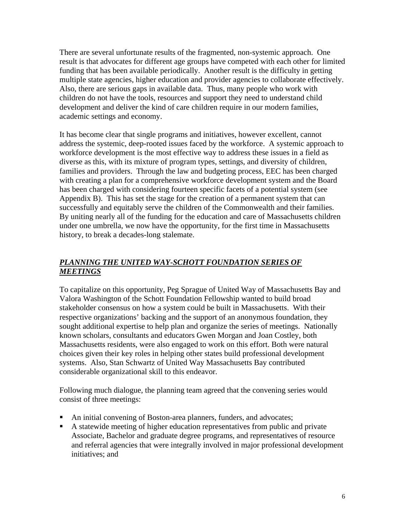There are several unfortunate results of the fragmented, non-systemic approach. One result is that advocates for different age groups have competed with each other for limited funding that has been available periodically. Another result is the difficulty in getting multiple state agencies, higher education and provider agencies to collaborate effectively. Also, there are serious gaps in available data. Thus, many people who work with children do not have the tools, resources and support they need to understand child development and deliver the kind of care children require in our modern families, academic settings and economy.

It has become clear that single programs and initiatives, however excellent, cannot address the systemic, deep-rooted issues faced by the workforce. A systemic approach to workforce development is the most effective way to address these issues in a field as diverse as this, with its mixture of program types, settings, and diversity of children, families and providers. Through the law and budgeting process, EEC has been charged with creating a plan for a comprehensive workforce development system and the Board has been charged with considering fourteen specific facets of a potential system (see Appendix B). This has set the stage for the creation of a permanent system that can successfully and equitably serve the children of the Commonwealth and their families. By uniting nearly all of the funding for the education and care of Massachusetts children under one umbrella, we now have the opportunity, for the first time in Massachusetts history, to break a decades-long stalemate.

## *PLANNING THE UNITED WAY-SCHOTT FOUNDATION SERIES OF MEETINGS*

To capitalize on this opportunity, Peg Sprague of United Way of Massachusetts Bay and Valora Washington of the Schott Foundation Fellowship wanted to build broad stakeholder consensus on how a system could be built in Massachusetts. With their respective organizations' backing and the support of an anonymous foundation, they sought additional expertise to help plan and organize the series of meetings. Nationally known scholars, consultants and educators Gwen Morgan and Joan Costley, both Massachusetts residents, were also engaged to work on this effort. Both were natural choices given their key roles in helping other states build professional development systems. Also, Stan Schwartz of United Way Massachusetts Bay contributed considerable organizational skill to this endeavor.

Following much dialogue, the planning team agreed that the convening series would consist of three meetings:

- An initial convening of Boston-area planners, funders, and advocates;
- A statewide meeting of higher education representatives from public and private Associate, Bachelor and graduate degree programs, and representatives of resource and referral agencies that were integrally involved in major professional development initiatives; and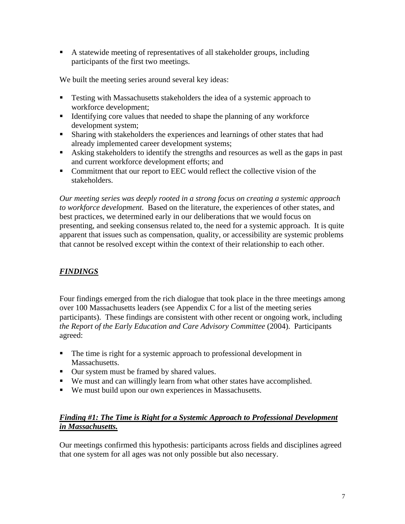A statewide meeting of representatives of all stakeholder groups, including participants of the first two meetings.

We built the meeting series around several key ideas:

- **Testing with Massachusetts stakeholders the idea of a systemic approach to** workforce development;
- Identifying core values that needed to shape the planning of any workforce development system;
- **Sharing with stakeholders the experiences and learnings of other states that had** already implemented career development systems;
- Asking stakeholders to identify the strengths and resources as well as the gaps in past and current workforce development efforts; and
- Commitment that our report to EEC would reflect the collective vision of the stakeholders.

*Our meeting series was deeply rooted in a strong focus on creating a systemic approach to workforce development.* Based on the literature, the experiences of other states, and best practices, we determined early in our deliberations that we would focus on presenting, and seeking consensus related to, the need for a systemic approach. It is quite apparent that issues such as compensation, quality, or accessibility are systemic problems that cannot be resolved except within the context of their relationship to each other.

# *FINDINGS*

Four findings emerged from the rich dialogue that took place in the three meetings among over 100 Massachusetts leaders (see Appendix C for a list of the meeting series participants). These findings are consistent with other recent or ongoing work, including *the Report of the Early Education and Care Advisory Committee* (2004). Participants agreed:

- The time is right for a systemic approach to professional development in Massachusetts.
- Our system must be framed by shared values.
- We must and can willingly learn from what other states have accomplished.
- We must build upon our own experiences in Massachusetts.

## *Finding #1: The Time is Right for a Systemic Approach to Professional Development in Massachusetts.*

Our meetings confirmed this hypothesis: participants across fields and disciplines agreed that one system for all ages was not only possible but also necessary.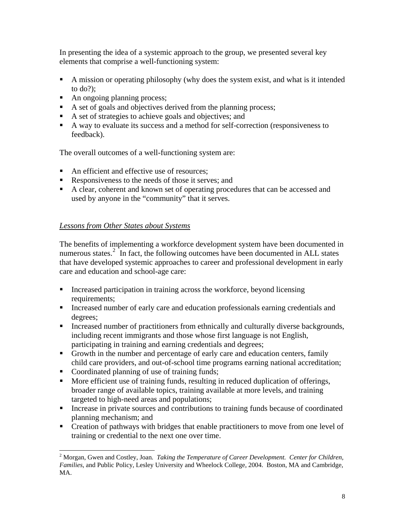In presenting the idea of a systemic approach to the group, we presented several key elements that comprise a well-functioning system:

- A mission or operating philosophy (why does the system exist, and what is it intended to do?);
- An ongoing planning process;
- A set of goals and objectives derived from the planning process;
- A set of strategies to achieve goals and objectives; and
- A way to evaluate its success and a method for self-correction (responsiveness to feedback).

The overall outcomes of a well-functioning system are:

- An efficient and effective use of resources:
- Responsiveness to the needs of those it serves; and
- A clear, coherent and known set of operating procedures that can be accessed and used by anyone in the "community" that it serves.

## *Lessons from Other States about Systems*

The benefits of implementing a workforce development system have been documented in numerous states. $2\hat{i}$  $2\hat{i}$  In fact, the following outcomes have been documented in ALL states that have developed systemic approaches to career and professional development in early care and education and school-age care:

- Increased participation in training across the workforce, beyond licensing requirements;
- Increased number of early care and education professionals earning credentials and degrees;
- **Increased number of practitioners from ethnically and culturally diverse backgrounds,** including recent immigrants and those whose first language is not English, participating in training and earning credentials and degrees;
- Growth in the number and percentage of early care and education centers, family child care providers, and out-of-school time programs earning national accreditation;
- Coordinated planning of use of training funds;
- More efficient use of training funds, resulting in reduced duplication of offerings, broader range of available topics, training available at more levels, and training targeted to high-need areas and populations;
- Increase in private sources and contributions to training funds because of coordinated planning mechanism; and
- Creation of pathways with bridges that enable practitioners to move from one level of training or credential to the next one over time.

<span id="page-11-0"></span><sup>&</sup>lt;sup>2</sup> Morgan, Gwen and Costley, Joan. Taking the Temperature of Career Development. Center for Children, *Families*, and Public Policy, Lesley University and Wheelock College, 2004. Boston, MA and Cambridge, MA.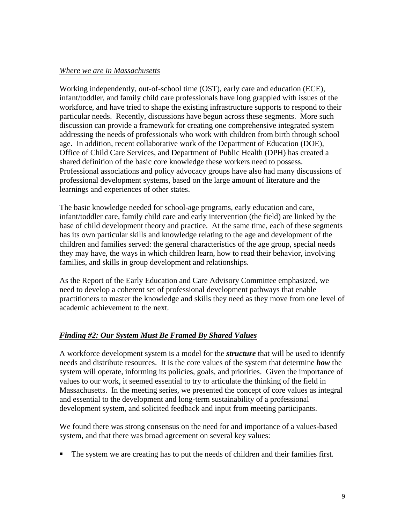#### *Where we are in Massachusetts*

Working independently, out-of-school time (OST), early care and education (ECE), infant/toddler, and family child care professionals have long grappled with issues of the workforce, and have tried to shape the existing infrastructure supports to respond to their particular needs. Recently, discussions have begun across these segments. More such discussion can provide a framework for creating one comprehensive integrated system addressing the needs of professionals who work with children from birth through school age. In addition, recent collaborative work of the Department of Education (DOE), Office of Child Care Services, and Department of Public Health (DPH) has created a shared definition of the basic core knowledge these workers need to possess. Professional associations and policy advocacy groups have also had many discussions of professional development systems, based on the large amount of literature and the learnings and experiences of other states.

The basic knowledge needed for school-age programs, early education and care, infant/toddler care, family child care and early intervention (the field) are linked by the base of child development theory and practice. At the same time, each of these segments has its own particular skills and knowledge relating to the age and development of the children and families served: the general characteristics of the age group, special needs they may have, the ways in which children learn, how to read their behavior, involving families, and skills in group development and relationships.

As the Report of the Early Education and Care Advisory Committee emphasized, we need to develop a coherent set of professional development pathways that enable practitioners to master the knowledge and skills they need as they move from one level of academic achievement to the next.

## *Finding #2: Our System Must Be Framed By Shared Values*

A workforce development system is a model for the *structure* that will be used to identify needs and distribute resources. It is the core values of the system that determine *how* the system will operate, informing its policies, goals, and priorities. Given the importance of values to our work, it seemed essential to try to articulate the thinking of the field in Massachusetts. In the meeting series, we presented the concept of core values as integral and essential to the development and long-term sustainability of a professional development system, and solicited feedback and input from meeting participants.

We found there was strong consensus on the need for and importance of a values-based system, and that there was broad agreement on several key values:

The system we are creating has to put the needs of children and their families first.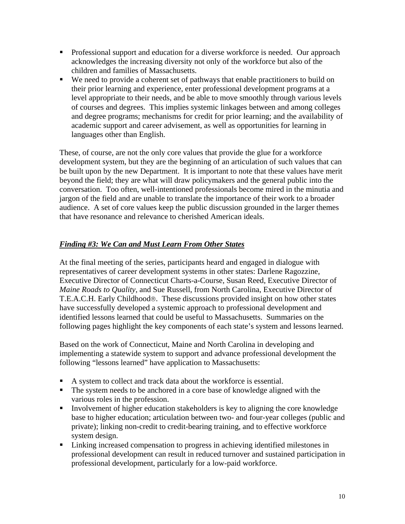- Professional support and education for a diverse workforce is needed.Our approach acknowledges the increasing diversity not only of the workforce but also of the children and families of Massachusetts.
- We need to provide a coherent set of pathways that enable practitioners to build on their prior learning and experience, enter professional development programs at a level appropriate to their needs, and be able to move smoothly through various levels of courses and degrees. This implies systemic linkages between and among colleges and degree programs; mechanisms for credit for prior learning; and the availability of academic support and career advisement, as well as opportunities for learning in languages other than English.

These, of course, are not the only core values that provide the glue for a workforce development system, but they are the beginning of an articulation of such values that can be built upon by the new Department. It is important to note that these values have merit beyond the field; they are what will draw policymakers and the general public into the conversation. Too often, well-intentioned professionals become mired in the minutia and jargon of the field and are unable to translate the importance of their work to a broader audience. A set of core values keep the public discussion grounded in the larger themes that have resonance and relevance to cherished American ideals.

# *Finding #3: We Can and Must Learn From Other States*

At the final meeting of the series, participants heard and engaged in dialogue with representatives of career development systems in other states: Darlene Ragozzine, Executive Director of Connecticut Charts-a-Course, Susan Reed, Executive Director of *Maine Roads to Quality*, and Sue Russell, from North Carolina, Executive Director of T.E.A.C.H. Early Childhood®. These discussions provided insight on how other states have successfully developed a systemic approach to professional development and identified lessons learned that could be useful to Massachusetts. Summaries on the following pages highlight the key components of each state's system and lessons learned.

Based on the work of Connecticut, Maine and North Carolina in developing and implementing a statewide system to support and advance professional development the following "lessons learned" have application to Massachusetts:

- A system to collect and track data about the workforce is essential.
- The system needs to be anchored in a core base of knowledge aligned with the various roles in the profession.
- Involvement of higher education stakeholders is key to aligning the core knowledge base to higher education; articulation between two- and four-year colleges (public and private); linking non-credit to credit-bearing training, and to effective workforce system design.
- Linking increased compensation to progress in achieving identified milestones in professional development can result in reduced turnover and sustained participation in professional development, particularly for a low-paid workforce.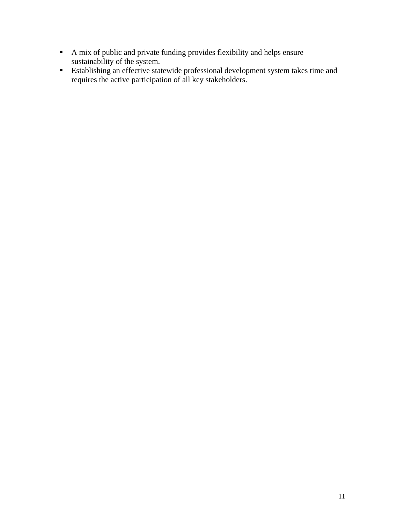- A mix of public and private funding provides flexibility and helps ensure sustainability of the system.
- Establishing an effective statewide professional development system takes time and requires the active participation of all key stakeholders.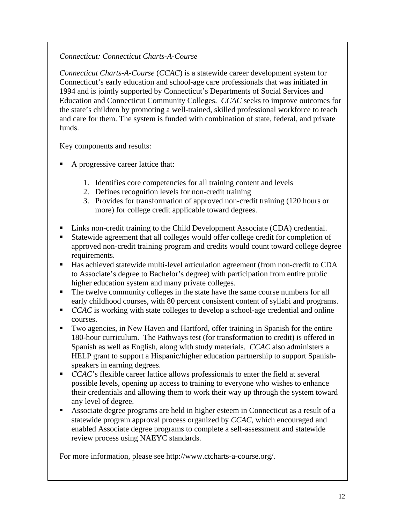# *Connecticut: Connecticut Charts-A-Course*

*Connecticut Charts-A-Course* (*CCAC*) is a statewide career development system for Connecticut's early education and school-age care professionals that was initiated in 1994 and is jointly supported by Connecticut's [Departments of Social Services](http://www.dss.state.ct.us/) and [Education](http://www.state.ct.us/sde) and [Connecticut Community Colleges](http://www.commnet.edu/). *CCAC* seeks to improve outcomes for the state's children by promoting a well-trained, skilled professional workforce to teach and care for them. The system is funded with combination of state, federal, and private funds.

Key components and results:

- A progressive career lattice that:
	- 1. Identifies core competencies for all training content and levels
	- 2. Defines recognition levels for non-credit training
	- 3. Provides for transformation of approved non-credit training (120 hours or more) for college credit applicable toward degrees.
- Links non-credit training to the Child Development Associate (CDA) credential.
- Statewide agreement that all colleges would offer college credit for completion of approved non-credit training program and credits would count toward college degree requirements.
- Has achieved statewide multi-level articulation agreement (from non-credit to CDA to Associate's degree to Bachelor's degree) with participation from entire public higher education system and many private colleges.
- The twelve community colleges in the state have the same course numbers for all early childhood courses, with 80 percent consistent content of syllabi and programs.
- *CCAC* is working with state colleges to develop a school-age credential and online courses.
- Two agencies, in New Haven and Hartford, offer training in Spanish for the entire 180-hour curriculum. The Pathways test (for transformation to credit) is offered in Spanish as well as English, along with study materials. *CCAC* also administers a HELP grant to support a Hispanic/higher education partnership to support Spanishspeakers in earning degrees.
- *CCAC*'s flexible career lattice allows professionals to enter the field at several possible levels, opening up access to training to everyone who wishes to enhance their credentials and allowing them to work their way up through the system toward any level of degree.
- Associate degree programs are held in higher esteem in Connecticut as a result of a statewide program approval process organized by *CCAC*, which encouraged and enabled Associate degree programs to complete a self-assessment and statewide review process using NAEYC standards.

For more information, please see http://www.ctcharts-a-course.org/.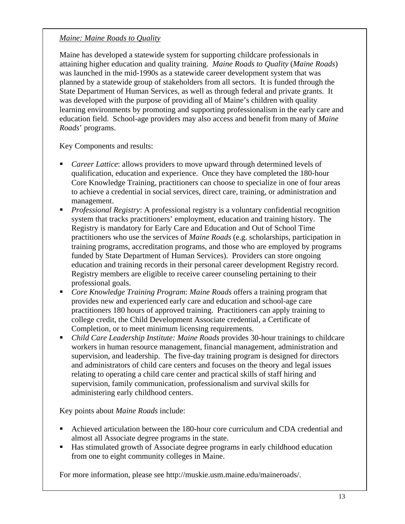## *Maine: Maine Roads to Quality*

Maine has developed a statewide system for supporting childcare professionals in attaining higher education and quality training. *Maine Roads to Quality* (*Maine Roads*) was launched in the mid-1990s as a statewide career development system that was planned by a statewide group of stakeholders from all sectors. It is funded through the State Department of Human Services, as well as through federal and private grants. It was developed with the purpose of providing all of Maine's children with quality learning environments by promoting and supporting professionalism in the early care and education field. School-age providers may also access and benefit from many of *Maine Roads*' programs.

Key Components and results:

- *Career Lattice*: allows providers to move upward through determined levels of qualification, education and experience. Once they have completed the 180-hour Core Knowledge Training, practitioners can choose to specialize in one of four areas to achieve a credential in social services, direct care, training, or administration and management.
- *Professional Registry*: A professional registry is a voluntary confidential recognition system that tracks practitioners' employment, education and training history. The Registry is mandatory for Early Care and Education and Out of School Time practitioners who use the services of *Maine Roads* (e.g. scholarships, participation in training programs, accreditation programs, and those who are employed by programs funded by State Department of Human Services). Providers can store ongoing education and training records in their personal career development Registry record. Registry members are eligible to receive career counseling pertaining to their professional goals.
- *Core Knowledge Training Program*: *Maine Roads* offers a training program that provides new and experienced early care and education and school-age care practitioners 180 hours of approved training. Practitioners can apply training to college credit, the Child Development Associate credential, a Certificate of Completion, or to meet minimum licensing requirements.
- *Child Care Leadership Institute: Maine Roads* provides 30-hour trainings to childcare workers in human resource management, financial management, administration and supervision, and leadership. The five-day training program is designed for directors and administrators of child care centers and focuses on the theory and legal issues relating to operating a child care center and practical skills of staff hiring and supervision, family communication, professionalism and survival skills for administering early childhood centers.

Key points about *Maine Roads* include:

- Achieved articulation between the 180-hour core curriculum and CDA credential and almost all Associate degree programs in the state.
- Has stimulated growth of Associate degree programs in early childhood education from one to eight community colleges in Maine.

For more information, please see http://muskie.usm.maine.edu/maineroads/.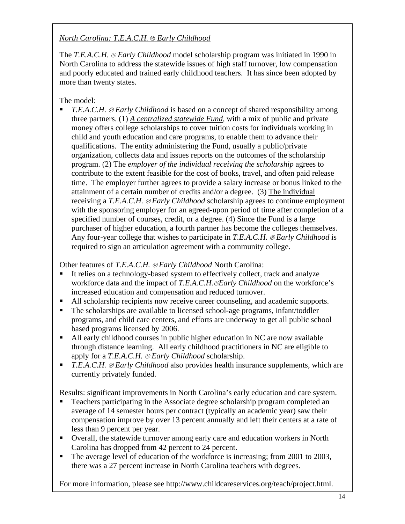# *North Carolina: T.E.A.C.H.* ® *Early Childhood*

The *T.E.A.C.H.* ® *Early Childhood* model scholarship program was initiated in 1990 in North Carolina to address the statewide issues of high staff turnover, low compensation and poorly educated and trained early childhood teachers. It has since been adopted by more than twenty states.

The model:

 *T.E.A.C.H.* ® *Early Childhood* is based on a concept of shared responsibility among three partners. (1) *A centralized statewide Fund*, with a mix of public and private money offers college scholarships to cover tuition costs for individuals working in child and youth education and care programs, to enable them to advance their qualifications. The entity administering the Fund, usually a public/private organization, collects data and issues reports on the outcomes of the scholarship program. (2) The *employer of the individual receiving the scholarship* agrees to contribute to the extent feasible for the cost of books, travel, and often paid release time. The employer further agrees to provide a salary increase or bonus linked to the attainment of a certain number of credits and/or a degree. (3) The individual receiving a *T.E.A.C.H.* ® *Early Childhood* scholarship agrees to continue employment with the sponsoring employer for an agreed-upon period of time after completion of a specified number of courses, credit, or a degree. (4) Since the Fund is a large purchaser of higher education, a fourth partner has become the colleges themselves. Any four-year college that wishes to participate in *T.E.A.C.H.* ® *Early Childhood* is required to sign an articulation agreement with a community college.

Other features of *T.E.A.C.H. @Early Childhood North Carolina:* 

- It relies on a technology-based system to effectively collect, track and analyze workforce data and the impact of *T.E.A.C.H.*®*Early Childhood* on the workforce's increased education and compensation and reduced turnover.
- All scholarship recipients now receive career counseling, and academic supports.
- The scholarships are available to licensed school-age programs, infant/toddler programs, and child care centers, and efforts are underway to get all public school based programs licensed by 2006.
- All early childhood courses in public higher education in NC are now available through distance learning. All early childhood practitioners in NC are eligible to apply for a *T.E.A.C.H.* ® *Early Childhood* scholarship.
- *T.E.A.C.H.* ® *Early Childhood* also provides health insurance supplements, which are currently privately funded.

Results: significant improvements in North Carolina's early education and care system.

- Teachers participating in the Associate degree scholarship program completed an average of 14 semester hours per contract (typically an academic year) saw their compensation improve by over 13 percent annually and left their centers at a rate of less than 9 percent per year.
- Overall, the statewide turnover among early care and education workers in North Carolina has dropped from 42 percent to 24 percent.
- The average level of education of the workforce is increasing; from 2001 to 2003, there was a 27 percent increase in North Carolina teachers with degrees.

For more information, please see http://www.childcareservices.org/teach/project.html.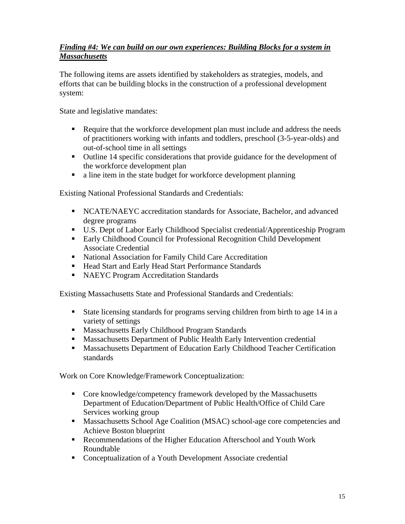## *Finding #4: We can build on our own experiences: Building Blocks for a system in Massachusetts*

The following items are assets identified by stakeholders as strategies, models, and efforts that can be building blocks in the construction of a professional development system:

State and legislative mandates:

- Require that the workforce development plan must include and address the needs of practitioners working with infants and toddlers, preschool (3-5-year-olds) and out-of-school time in all settings
- Outline 14 specific considerations that provide guidance for the development of the workforce development plan
- a line item in the state budget for workforce development planning

Existing National Professional Standards and Credentials:

- NCATE/NAEYC accreditation standards for Associate, Bachelor, and advanced degree programs
- U.S. Dept of Labor Early Childhood Specialist credential/Apprenticeship Program
- Early Childhood Council for Professional Recognition Child Development Associate Credential
- National Association for Family Child Care Accreditation
- Head Start and Early Head Start Performance Standards
- **NAEYC Program Accreditation Standards**

Existing Massachusetts State and Professional Standards and Credentials:

- State licensing standards for programs serving children from birth to age 14 in a variety of settings
- **Massachusetts Early Childhood Program Standards**
- Massachusetts Department of Public Health Early Intervention credential
- **Massachusetts Department of Education Early Childhood Teacher Certification** standards

Work on Core Knowledge/Framework Conceptualization:

- Core knowledge/competency framework developed by the Massachusetts Department of Education/Department of Public Health/Office of Child Care Services working group
- **Massachusetts School Age Coalition (MSAC) school-age core competencies and** Achieve Boston blueprint
- Recommendations of the Higher Education Afterschool and Youth Work Roundtable
- Conceptualization of a Youth Development Associate credential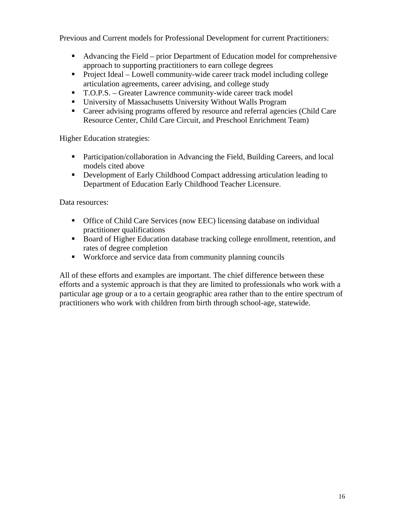Previous and Current models for Professional Development for current Practitioners:

- Advancing the Field prior Department of Education model for comprehensive approach to supporting practitioners to earn college degrees
- Project Ideal Lowell community-wide career track model including college articulation agreements, career advising, and college study
- T.O.P.S. Greater Lawrence community-wide career track model
- University of Massachusetts University Without Walls Program
- Career advising programs offered by resource and referral agencies (Child Care Resource Center, Child Care Circuit, and Preschool Enrichment Team)

Higher Education strategies:

- Participation/collaboration in Advancing the Field, Building Careers, and local models cited above
- **•** Development of Early Childhood Compact addressing articulation leading to Department of Education Early Childhood Teacher Licensure.

Data resources:

- Office of Child Care Services (now EEC) licensing database on individual practitioner qualifications
- Board of Higher Education database tracking college enrollment, retention, and rates of degree completion
- Workforce and service data from community planning councils

All of these efforts and examples are important. The chief difference between these efforts and a systemic approach is that they are limited to professionals who work with a particular age group or a to a certain geographic area rather than to the entire spectrum of practitioners who work with children from birth through school-age, statewide.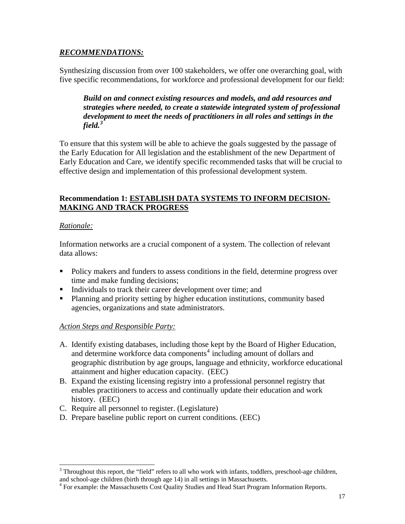## *RECOMMENDATIONS:*

Synthesizing discussion from over 100 stakeholders, we offer one overarching goal, with five specific recommendations, for workforce and professional development for our field:

*Build on and connect existing resources and models, and add resources and strategies where needed, to create a statewide integrated system of professional development to meet the needs of practitioners in all roles and settings in the field.[3](#page-20-0)*

To ensure that this system will be able to achieve the goals suggested by the passage of the Early Education for All legislation and the establishment of the new Department of Early Education and Care, we identify specific recommended tasks that will be crucial to effective design and implementation of this professional development system.

## **Recommendation 1: ESTABLISH DATA SYSTEMS TO INFORM DECISION-MAKING AND TRACK PROGRESS**

## *Rationale:*

Information networks are a crucial component of a system. The collection of relevant data allows:

- **Policy makers and funders to assess conditions in the field, determine progress over** time and make funding decisions;
- Individuals to track their career development over time; and
- **Planning and priority setting by higher education institutions, community based** agencies, organizations and state administrators.

# *Action Steps and Responsible Party:*

- A. Identify existing databases, including those kept by the Board of Higher Education, and determine workforce data components<sup>[4](#page-20-1)</sup> including amount of dollars and geographic distribution by age groups, language and ethnicity, workforce educational attainment and higher education capacity. (EEC)
- B. Expand the existing licensing registry into a professional personnel registry that enables practitioners to access and continually update their education and work history. (EEC)
- C. Require all personnel to register. (Legislature)
- D. Prepare baseline public report on current conditions. (EEC)

<span id="page-20-0"></span> $\overline{\phantom{a}}$ <sup>3</sup> Throughout this report, the "field" refers to all who work with infants, toddlers, preschool-age children, and school-age children (birth through age 14) in all settings in Massachusetts.

<span id="page-20-1"></span><sup>&</sup>lt;sup>4</sup> For example: the Massachusetts Cost Quality Studies and Head Start Program Information Reports.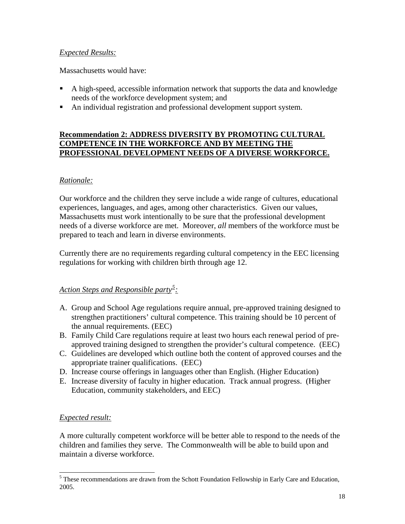## *Expected Results:*

Massachusetts would have:

- A high-speed, accessible information network that supports the data and knowledge needs of the workforce development system; and
- An individual registration and professional development support system.

### **Recommendation 2: ADDRESS DIVERSITY BY PROMOTING CULTURAL COMPETENCE IN THE WORKFORCE AND BY MEETING THE PROFESSIONAL DEVELOPMENT NEEDS OF A DIVERSE WORKFORCE.**

## *Rationale:*

Our workforce and the children they serve include a wide range of cultures, educational experiences, languages, and ages, among other characteristics. Given our values, Massachusetts must work intentionally to be sure that the professional development needs of a diverse workforce are met. Moreover, *all* members of the workforce must be prepared to teach and learn in diverse environments.

Currently there are no requirements regarding cultural competency in the EEC licensing regulations for working with children birth through age 12.

# *Action Steps and Responsible party[5](#page-21-0) :*

- A. Group and School Age regulations require annual, pre-approved training designed to strengthen practitioners' cultural competence. This training should be 10 percent of the annual requirements. (EEC)
- B. Family Child Care regulations require at least two hours each renewal period of preapproved training designed to strengthen the provider's cultural competence. (EEC)
- C. Guidelines are developed which outline both the content of approved courses and the appropriate trainer qualifications. (EEC)
- D. Increase course offerings in languages other than English. (Higher Education)
- E. Increase diversity of faculty in higher education. Track annual progress. (Higher Education, community stakeholders, and EEC)

## *Expected result:*

A more culturally competent workforce will be better able to respond to the needs of the children and families they serve. The Commonwealth will be able to build upon and maintain a diverse workforce.

<span id="page-21-0"></span><sup>&</sup>lt;sup>5</sup> These recommendations are drawn from the Schott Foundation Fellowship in Early Care and Education, 2005.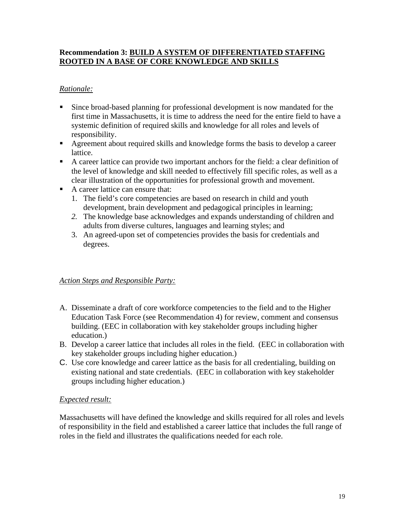## **Recommendation 3: BUILD A SYSTEM OF DIFFERENTIATED STAFFING ROOTED IN A BASE OF CORE KNOWLEDGE AND SKILLS**

## *Rationale:*

- Since broad-based planning for professional development is now mandated for the first time in Massachusetts, it is time to address the need for the entire field to have a systemic definition of required skills and knowledge for all roles and levels of responsibility.
- Agreement about required skills and knowledge forms the basis to develop a career lattice.
- A career lattice can provide two important anchors for the field: a clear definition of the level of knowledge and skill needed to effectively fill specific roles, as well as a clear illustration of the opportunities for professional growth and movement.
- A career lattice can ensure that:
	- 1. The field's core competencies are based on research in child and youth development, brain development and pedagogical principles in learning;
	- *2.* The knowledge base acknowledges and expands understanding of children and adults from diverse cultures, languages and learning styles; and
	- 3. An agreed-upon set of competencies provides the basis for credentials and degrees.

## *Action Steps and Responsible Party:*

- A. Disseminate a draft of core workforce competencies to the field and to the Higher Education Task Force (see Recommendation 4) for review, comment and consensus building. (EEC in collaboration with key stakeholder groups including higher education.)
- B. Develop a career lattice that includes all roles in the field. (EEC in collaboration with key stakeholder groups including higher education.)
- C. Use core knowledge and career lattice as the basis for all credentialing, building on existing national and state credentials. (EEC in collaboration with key stakeholder groups including higher education.)

## *Expected result:*

Massachusetts will have defined the knowledge and skills required for all roles and levels of responsibility in the field and established a career lattice that includes the full range of roles in the field and illustrates the qualifications needed for each role.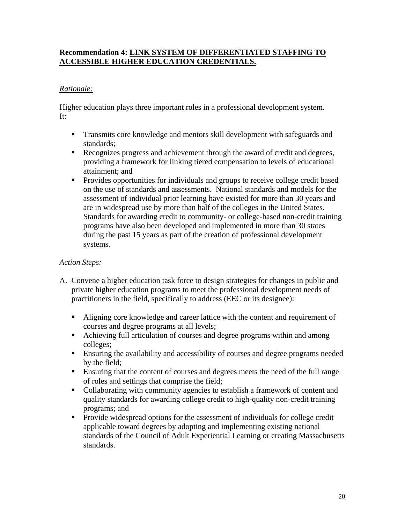## **Recommendation 4: LINK SYSTEM OF DIFFERENTIATED STAFFING TO ACCESSIBLE HIGHER EDUCATION CREDENTIALS.**

## *Rationale:*

Higher education plays three important roles in a professional development system. It:

- **Transmits core knowledge and mentors skill development with safeguards and** standards;
- Recognizes progress and achievement through the award of credit and degrees, providing a framework for linking tiered compensation to levels of educational attainment; and
- **Provides opportunities for individuals and groups to receive college credit based** on the use of standards and assessments. National standards and models for the assessment of individual prior learning have existed for more than 30 years and are in widespread use by more than half of the colleges in the United States. Standards for awarding credit to community- or college-based non-credit training programs have also been developed and implemented in more than 30 states during the past 15 years as part of the creation of professional development systems.

## *Action Steps:*

- A. Convene a higher education task force to design strategies for changes in public and private higher education programs to meet the professional development needs of practitioners in the field, specifically to address (EEC or its designee):
	- Aligning core knowledge and career lattice with the content and requirement of courses and degree programs at all levels;
	- Achieving full articulation of courses and degree programs within and among colleges;
	- Ensuring the availability and accessibility of courses and degree programs needed by the field;
	- Ensuring that the content of courses and degrees meets the need of the full range of roles and settings that comprise the field;
	- Collaborating with community agencies to establish a framework of content and quality standards for awarding college credit to high-quality non-credit training programs; and
	- **Provide widespread options for the assessment of individuals for college credit** applicable toward degrees by adopting and implementing existing national standards of the Council of Adult Experiential Learning or creating Massachusetts standards.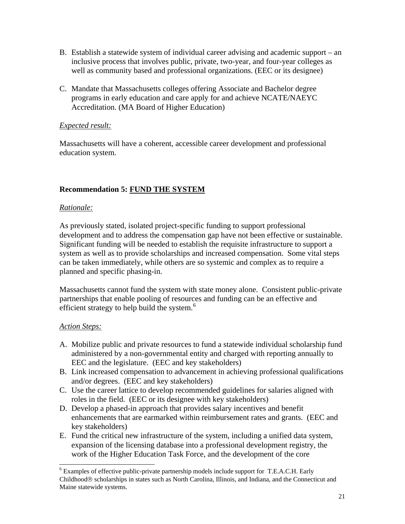- B. Establish a statewide system of individual career advising and academic support an inclusive process that involves public, private, two-year, and four-year colleges as well as community based and professional organizations. (EEC or its designee)
- C. Mandate that Massachusetts colleges offering Associate and Bachelor degree programs in early education and care apply for and achieve NCATE/NAEYC Accreditation. (MA Board of Higher Education)

## *Expected result:*

Massachusetts will have a coherent, accessible career development and professional education system.

# **Recommendation 5: FUND THE SYSTEM**

## *Rationale:*

As previously stated, isolated project-specific funding to support professional development and to address the compensation gap have not been effective or sustainable. Significant funding will be needed to establish the requisite infrastructure to support a system as well as to provide scholarships and increased compensation. Some vital steps can be taken immediately, while others are so systemic and complex as to require a planned and specific phasing-in.

Massachusetts cannot fund the system with state money alone. Consistent public-private partnerships that enable pooling of resources and funding can be an effective and efficient strategy to help build the system. $6$ 

## *Action Steps:*

 $\overline{\phantom{a}}$ 

- A. Mobilize public and private resources to fund a statewide individual scholarship fund administered by a non-governmental entity and charged with reporting annually to EEC and the legislature. (EEC and key stakeholders)
- B. Link increased compensation to advancement in achieving professional qualifications and/or degrees. (EEC and key stakeholders)
- C. Use the career lattice to develop recommended guidelines for salaries aligned with roles in the field. (EEC or its designee with key stakeholders)
- D. Develop a phased-in approach that provides salary incentives and benefit enhancements that are earmarked within reimbursement rates and grants. (EEC and key stakeholders)
- E. Fund the critical new infrastructure of the system, including a unified data system, expansion of the licensing database into a professional development registry, the work of the Higher Education Task Force, and the development of the core

<span id="page-24-0"></span><sup>&</sup>lt;sup>6</sup> Examples of effective public-private partnership models include support for T.E.A.C.H. Early Childhood® scholarships in states such as North Carolina, Illinois, and Indiana, and the Connecticut and Maine statewide systems.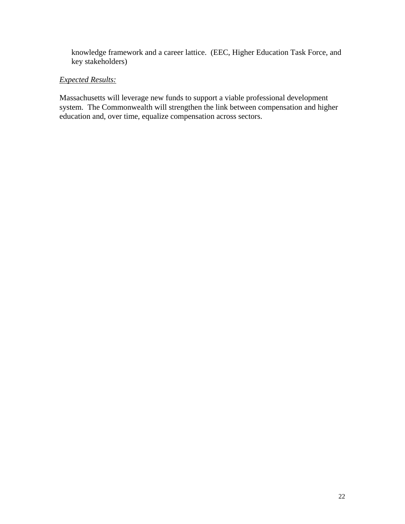knowledge framework and a career lattice. (EEC, Higher Education Task Force, and key stakeholders)

## *Expected Results:*

Massachusetts will leverage new funds to support a viable professional development system. The Commonwealth will strengthen the link between compensation and higher education and, over time, equalize compensation across sectors.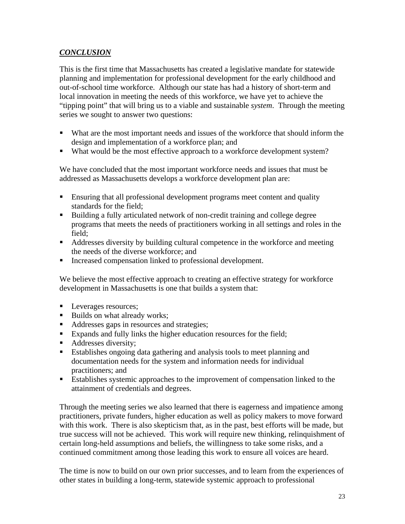## *CONCLUSION*

This is the first time that Massachusetts has created a legislative mandate for statewide planning and implementation for professional development for the early childhood and out-of-school time workforce. Although our state has had a history of short-term and local innovation in meeting the needs of this workforce, we have yet to achieve the "tipping point" that will bring us to a viable and sustainable *system*. Through the meeting series we sought to answer two questions:

- What are the most important needs and issues of the workforce that should inform the design and implementation of a workforce plan; and
- What would be the most effective approach to a workforce development system?

We have concluded that the most important workforce needs and issues that must be addressed as Massachusetts develops a workforce development plan are:

- Ensuring that all professional development programs meet content and quality standards for the field;
- Building a fully articulated network of non-credit training and college degree programs that meets the needs of practitioners working in all settings and roles in the field;
- Addresses diversity by building cultural competence in the workforce and meeting the needs of the diverse workforce; and
- Increased compensation linked to professional development.

We believe the most effective approach to creating an effective strategy for workforce development in Massachusetts is one that builds a system that:

- **Leverages resources;**
- Builds on what already works;
- Addresses gaps in resources and strategies;
- Expands and fully links the higher education resources for the field;
- Addresses diversity;
- Establishes ongoing data gathering and analysis tools to meet planning and documentation needs for the system and information needs for individual practitioners; and
- Establishes systemic approaches to the improvement of compensation linked to the attainment of credentials and degrees.

Through the meeting series we also learned that there is eagerness and impatience among practitioners, private funders, higher education as well as policy makers to move forward with this work. There is also skepticism that, as in the past, best efforts will be made, but true success will not be achieved. This work will require new thinking, relinquishment of certain long-held assumptions and beliefs, the willingness to take some risks, and a continued commitment among those leading this work to ensure all voices are heard.

The time is now to build on our own prior successes, and to learn from the experiences of other states in building a long-term, statewide systemic approach to professional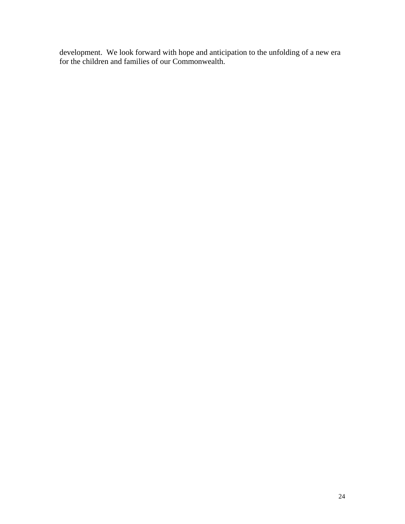development. We look forward with hope and anticipation to the unfolding of a new era for the children and families of our Commonwealth.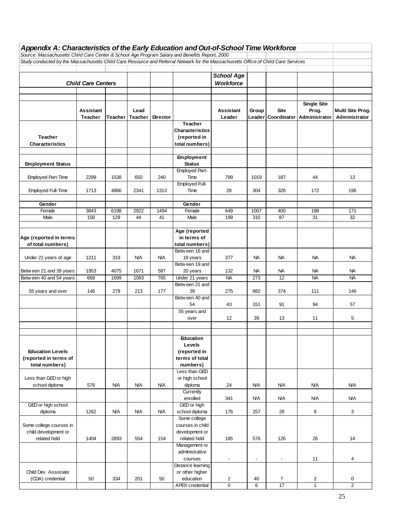| Appendix A: Characteristics of the Early Education and Out-of-School Time Workforce                                                                                                                                                |                           |            |            |                 |                                   |                          |                          |                          |                    |                  |
|------------------------------------------------------------------------------------------------------------------------------------------------------------------------------------------------------------------------------------|---------------------------|------------|------------|-----------------|-----------------------------------|--------------------------|--------------------------|--------------------------|--------------------|------------------|
| Source: Massachusetts Child Care Center & School Age Program Salary and Benefits Report, 2000<br>Study conducted by the Massachusetts Child Care Resource and Referral Network for the Massachusetts Office of Child Care Services |                           |            |            |                 |                                   |                          |                          |                          |                    |                  |
|                                                                                                                                                                                                                                    |                           |            |            |                 |                                   |                          |                          |                          |                    |                  |
|                                                                                                                                                                                                                                    |                           |            |            |                 |                                   | <b>School Age</b>        |                          |                          |                    |                  |
|                                                                                                                                                                                                                                    | <b>Child Care Centers</b> |            |            |                 |                                   | Workforce                |                          |                          |                    |                  |
|                                                                                                                                                                                                                                    |                           |            |            |                 |                                   |                          |                          |                          |                    |                  |
|                                                                                                                                                                                                                                    |                           |            |            |                 |                                   |                          |                          |                          |                    |                  |
|                                                                                                                                                                                                                                    |                           |            |            |                 |                                   |                          |                          |                          | <b>Single Site</b> |                  |
|                                                                                                                                                                                                                                    | Assistant                 |            | Lead       |                 |                                   | Assistant                | Group                    | <b>Site</b>              | Prog.              | Multi Site Prog. |
|                                                                                                                                                                                                                                    | Teacher                   | Teacher    | Teacher    | <b>Director</b> |                                   | Leader                   | Leader                   | Coordinator              | Administrator      | Administrator    |
|                                                                                                                                                                                                                                    |                           |            |            |                 | Teacher<br><b>Characteristics</b> |                          |                          |                          |                    |                  |
| Teacher                                                                                                                                                                                                                            |                           |            |            |                 | (reported in                      |                          |                          |                          |                    |                  |
| <b>Characteristics</b>                                                                                                                                                                                                             |                           |            |            |                 | total numbers)                    |                          |                          |                          |                    |                  |
|                                                                                                                                                                                                                                    |                           |            |            |                 |                                   |                          |                          |                          |                    |                  |
|                                                                                                                                                                                                                                    |                           |            |            |                 | Employment                        |                          |                          |                          |                    |                  |
| <b>Employment Status</b>                                                                                                                                                                                                           |                           |            |            |                 | <b>Status</b>                     |                          |                          |                          |                    |                  |
|                                                                                                                                                                                                                                    |                           |            |            |                 | Employed Part-                    |                          |                          |                          |                    |                  |
| Employed Part-Time                                                                                                                                                                                                                 | 2299                      | 1538       | 650        | 240             | Time                              | 799                      | 1019                     | 187                      | 44                 | 13               |
|                                                                                                                                                                                                                                    |                           |            |            |                 | Employed Full-                    |                          |                          |                          |                    |                  |
| Employed Full-Time                                                                                                                                                                                                                 | 1713                      | 4866       | 2341       | 1313            | Time                              | 28                       | 304                      | 326                      | 172                | 196              |
| Gender                                                                                                                                                                                                                             |                           |            |            |                 | Gender                            |                          |                          |                          |                    |                  |
| Female                                                                                                                                                                                                                             | 3843                      | 6198       | 2922       | 1494            | Female                            | 649                      | 1007                     | 400                      | 188                | 171              |
| Male                                                                                                                                                                                                                               | 158                       | 129        | 44         | 41              | Male                              | 199                      | 310                      | 87                       | 31                 | 32               |
|                                                                                                                                                                                                                                    |                           |            |            |                 |                                   |                          |                          |                          |                    |                  |
|                                                                                                                                                                                                                                    |                           |            |            |                 | Age (reported                     |                          |                          |                          |                    |                  |
| Age (reported in terms                                                                                                                                                                                                             |                           |            |            |                 | in terms of                       |                          |                          |                          |                    |                  |
| of total numbers)                                                                                                                                                                                                                  |                           |            |            |                 | total numbers)                    |                          |                          |                          |                    |                  |
|                                                                                                                                                                                                                                    |                           |            |            |                 | Betw een 16 and                   |                          |                          |                          |                    |                  |
| Under 21 years of age                                                                                                                                                                                                              | 1211                      | 319        | <b>N/A</b> | N/A             | 18 years                          | 377                      | <b>NA</b>                | NA                       | <b>NA</b>          | <b>NA</b>        |
|                                                                                                                                                                                                                                    |                           |            |            |                 | Betw een 19 and                   |                          |                          |                          |                    |                  |
| Between 21 and 39 years                                                                                                                                                                                                            | 1953                      | 4075       | 1671       | 587             | 20 years                          | 132                      | NА                       | NА                       | NA.                | NA.              |
| Between 40 and 54 years                                                                                                                                                                                                            | 668                       | 1699       | 1083       | 765             | Under 21 years<br>Between 21 and  | <b>NA</b>                | 273                      | 12                       | <b>NA</b>          | <b>NA</b>        |
| 55 years and over                                                                                                                                                                                                                  | 146                       | 279        | 213        | 177             | 39                                | 275                      | 882                      | 374                      | 111                | 146              |
|                                                                                                                                                                                                                                    |                           |            |            |                 | Betw een 40 and                   |                          |                          |                          |                    |                  |
|                                                                                                                                                                                                                                    |                           |            |            |                 | 54                                | 43                       | 151                      | 91                       | 94                 | 57               |
|                                                                                                                                                                                                                                    |                           |            |            |                 | 55 years and                      |                          |                          |                          |                    |                  |
|                                                                                                                                                                                                                                    |                           |            |            |                 | over                              | 12                       | 39                       | 13                       | 11                 | 5                |
|                                                                                                                                                                                                                                    |                           |            |            |                 |                                   |                          |                          |                          |                    |                  |
|                                                                                                                                                                                                                                    |                           |            |            |                 |                                   |                          |                          |                          |                    |                  |
|                                                                                                                                                                                                                                    |                           |            |            |                 | Education                         |                          |                          |                          |                    |                  |
|                                                                                                                                                                                                                                    |                           |            |            |                 | Levels                            |                          |                          |                          |                    |                  |
| <b>Education Levels</b>                                                                                                                                                                                                            |                           |            |            |                 | (reported in                      |                          |                          |                          |                    |                  |
| (reported in terms of<br>total numbers)                                                                                                                                                                                            |                           |            |            |                 | terms of total<br>numbers)        |                          |                          |                          |                    |                  |
|                                                                                                                                                                                                                                    |                           |            |            |                 | Less than GED                     |                          |                          |                          |                    |                  |
| Less than GED or high                                                                                                                                                                                                              |                           |            |            |                 | or high school                    |                          |                          |                          |                    |                  |
| school diploma                                                                                                                                                                                                                     | 576                       | <b>N/A</b> | <b>N/A</b> | <b>N/A</b>      | diploma                           | 24                       | <b>N/A</b>               | <b>N/A</b>               | <b>N/A</b>         | <b>N/A</b>       |
|                                                                                                                                                                                                                                    |                           |            |            |                 | Currently                         |                          |                          |                          |                    |                  |
|                                                                                                                                                                                                                                    |                           |            |            |                 | enrolled                          | 341                      | <b>N/A</b>               | <b>N/A</b>               | <b>N/A</b>         | <b>N/A</b>       |
| GED or high school                                                                                                                                                                                                                 |                           |            |            |                 | GED or high                       |                          |                          |                          |                    |                  |
| diploma                                                                                                                                                                                                                            | 1262                      | <b>N/A</b> | <b>N/A</b> | <b>N/A</b>      | school diploma                    | 176                      | 257                      | 28                       | 8                  | 3                |
|                                                                                                                                                                                                                                    |                           |            |            |                 | Some college                      |                          |                          |                          |                    |                  |
| Some college courses in                                                                                                                                                                                                            |                           |            |            |                 | courses in child                  |                          |                          |                          |                    |                  |
| child development or                                                                                                                                                                                                               |                           |            |            |                 | development or                    |                          |                          |                          |                    |                  |
| related field                                                                                                                                                                                                                      | 1404                      | 2893       | 554        | 154             | related field                     | 185                      | 576                      | 126                      | 26                 | 14               |
|                                                                                                                                                                                                                                    |                           |            |            |                 | Management or<br>administrative   |                          |                          |                          |                    |                  |
|                                                                                                                                                                                                                                    |                           |            |            |                 | courses                           | $\overline{\phantom{a}}$ | $\overline{\phantom{a}}$ | $\overline{\phantom{a}}$ | 11                 | 4                |
|                                                                                                                                                                                                                                    |                           |            |            |                 | Distance learning                 |                          |                          |                          |                    |                  |
| Child Dev. Associate                                                                                                                                                                                                               |                           |            |            |                 | or other higher                   |                          |                          |                          |                    |                  |
| (CDA) credential                                                                                                                                                                                                                   | 50                        | 334        | 201        | 50              | education                         | $\overline{\mathbf{c}}$  | 40                       | $\overline{7}$           | $\overline{c}$     | 0                |
|                                                                                                                                                                                                                                    |                           |            |            |                 | <b>APEX</b> credential            | 0                        | 6                        | 17                       | $\mathbf{1}$       | $\overline{2}$   |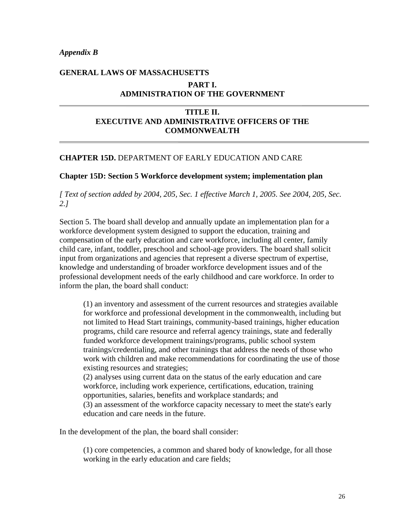*Appendix B* 

# **GENERAL LAWS OF MASSACHUSETTS PART I. ADMINISTRATION OF THE GOVERNMENT**

## **TITLE II. EXECUTIVE AND ADMINISTRATIVE OFFICERS OF THE COMMONWEALTH**

#### **CHAPTER 15D.** DEPARTMENT OF EARLY EDUCATION AND CARE

#### **Chapter 15D: Section 5 Workforce development system; implementation plan**

#### *[ Text of section added by 2004, 205, Sec. 1 effective March 1, 2005. See 2004, 205, Sec. 2.]*

Section 5. The board shall develop and annually update an implementation plan for a workforce development system designed to support the education, training and compensation of the early education and care workforce, including all center, family child care, infant, toddler, preschool and school-age providers. The board shall solicit input from organizations and agencies that represent a diverse spectrum of expertise, knowledge and understanding of broader workforce development issues and of the professional development needs of the early childhood and care workforce. In order to inform the plan, the board shall conduct:

(1) an inventory and assessment of the current resources and strategies available for workforce and professional development in the commonwealth, including but not limited to Head Start trainings, community-based trainings, higher education programs, child care resource and referral agency trainings, state and federally funded workforce development trainings/programs, public school system trainings/credentialing, and other trainings that address the needs of those who work with children and make recommendations for coordinating the use of those existing resources and strategies; (2) analyses using current data on the status of the early education and care

workforce, including work experience, certifications, education, training opportunities, salaries, benefits and workplace standards; and (3) an assessment of the workforce capacity necessary to meet the state's early

education and care needs in the future.

In the development of the plan, the board shall consider:

(1) core competencies, a common and shared body of knowledge, for all those working in the early education and care fields;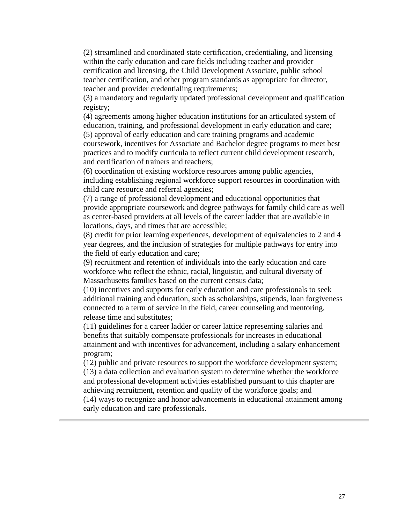(2) streamlined and coordinated state certification, credentialing, and licensing within the early education and care fields including teacher and provider certification and licensing, the Child Development Associate, public school teacher certification, and other program standards as appropriate for director, teacher and provider credentialing requirements;

(3) a mandatory and regularly updated professional development and qualification registry;

(4) agreements among higher education institutions for an articulated system of education, training, and professional development in early education and care; (5) approval of early education and care training programs and academic coursework, incentives for Associate and Bachelor degree programs to meet best practices and to modify curricula to reflect current child development research, and certification of trainers and teachers;

(6) coordination of existing workforce resources among public agencies, including establishing regional workforce support resources in coordination with child care resource and referral agencies;

(7) a range of professional development and educational opportunities that provide appropriate coursework and degree pathways for family child care as well as center-based providers at all levels of the career ladder that are available in locations, days, and times that are accessible;

(8) credit for prior learning experiences, development of equivalencies to 2 and 4 year degrees, and the inclusion of strategies for multiple pathways for entry into the field of early education and care;

(9) recruitment and retention of individuals into the early education and care workforce who reflect the ethnic, racial, linguistic, and cultural diversity of Massachusetts families based on the current census data;

(10) incentives and supports for early education and care professionals to seek additional training and education, such as scholarships, stipends, loan forgiveness connected to a term of service in the field, career counseling and mentoring, release time and substitutes;

(11) guidelines for a career ladder or career lattice representing salaries and benefits that suitably compensate professionals for increases in educational attainment and with incentives for advancement, including a salary enhancement program;

(12) public and private resources to support the workforce development system; (13) a data collection and evaluation system to determine whether the workforce and professional development activities established pursuant to this chapter are achieving recruitment, retention and quality of the workforce goals; and

(14) ways to recognize and honor advancements in educational attainment among early education and care professionals.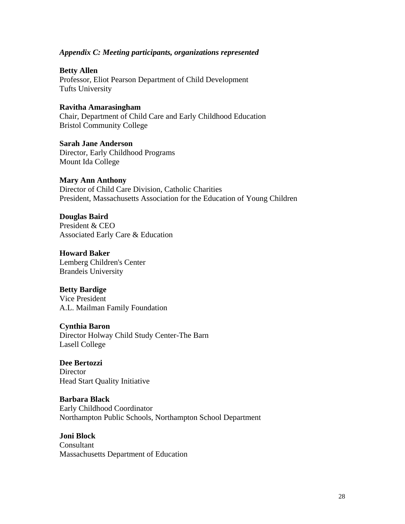#### *Appendix C: Meeting participants, organizations represented*

**Betty Allen**  Professor, Eliot Pearson Department of Child Development Tufts University

## **Ravitha Amarasingham**

Chair, Department of Child Care and Early Childhood Education Bristol Community College

**Sarah Jane Anderson**  Director, Early Childhood Programs Mount Ida College

#### **Mary Ann Anthony**

Director of Child Care Division, Catholic Charities President, Massachusetts Association for the Education of Young Children

#### **Douglas Baird**

President & CEO Associated Early Care & Education

#### **Howard Baker**

Lemberg Children's Center Brandeis University

#### **Betty Bardige**

Vice President A.L. Mailman Family Foundation

#### **Cynthia Baron**

Director Holway Child Study Center-The Barn Lasell College

# **Dee Bertozzi**

**Director** Head Start Quality Initiative

# **Barbara Black**

Early Childhood Coordinator Northampton Public Schools, Northampton School Department

# **Joni Block**

Consultant Massachusetts Department of Education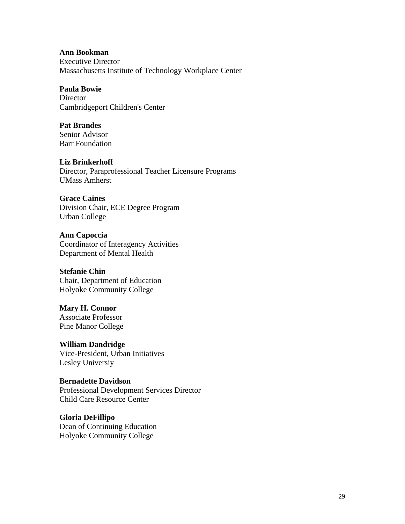#### **Ann Bookman**

Executive Director Massachusetts Institute of Technology Workplace Center

#### **Paula Bowie**

**Director** Cambridgeport Children's Center

#### **Pat Brandes**

Senior Advisor Barr Foundation

#### **Liz Brinkerhoff**

Director, Paraprofessional Teacher Licensure Programs UMass Amherst

#### **Grace Caines**

Division Chair, ECE Degree Program Urban College

**Ann Capoccia**  Coordinator of Interagency Activities Department of Mental Health

#### **Stefanie Chin**

Chair, Department of Education Holyoke Community College

# **Mary H. Connor**  Associate Professor

Pine Manor College

**William Dandridge**  Vice-President, Urban Initiatives Lesley Universiy

#### **Bernadette Davidson**

Professional Development Services Director Child Care Resource Center

**Gloria DeFillipo**  Dean of Continuing Education Holyoke Community College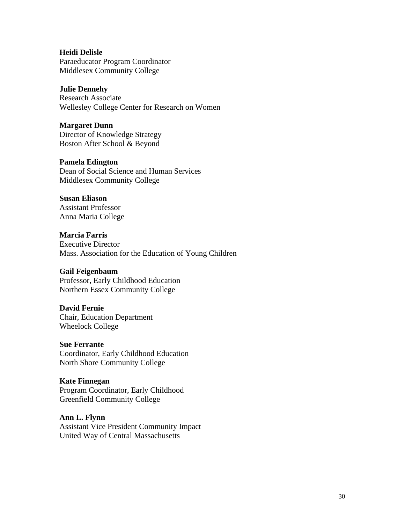#### **Heidi Delisle**  Paraeducator Program Coordinator Middlesex Community College

## **Julie Dennehy**

Research Associate Wellesley College Center for Research on Women

#### **Margaret Dunn**

Director of Knowledge Strategy Boston After School & Beyond

## **Pamela Edington**

Dean of Social Science and Human Services Middlesex Community College

## **Susan Eliason**

Assistant Professor Anna Maria College

## **Marcia Farris**

Executive Director Mass. Association for the Education of Young Children

## **Gail Feigenbaum**

Professor, Early Childhood Education Northern Essex Community College

## **David Fernie**

Chair, Education Department Wheelock College

#### **Sue Ferrante**

Coordinator, Early Childhood Education North Shore Community College

#### **Kate Finnegan**

Program Coordinator, Early Childhood Greenfield Community College

## **Ann L. Flynn**

Assistant Vice President Community Impact United Way of Central Massachusetts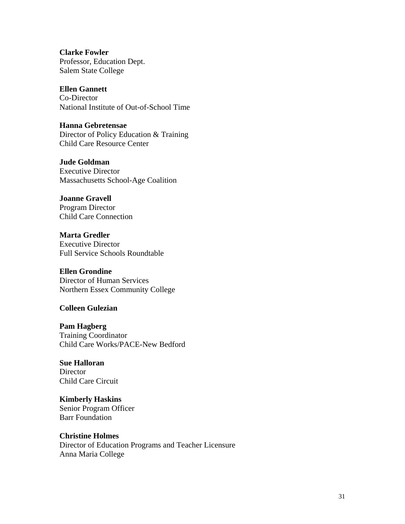**Clarke Fowler**  Professor, Education Dept. Salem State College

## **Ellen Gannett**

Co-Director National Institute of Out-of-School Time

**Hanna Gebretensae** 

Director of Policy Education & Training Child Care Resource Center

**Jude Goldman** 

Executive Director Massachusetts School-Age Coalition

**Joanne Gravell**  Program Director Child Care Connection

**Marta Gredler**  Executive Director Full Service Schools Roundtable

#### **Ellen Grondine**  Director of Human Services

Northern Essex Community College

## **Colleen Gulezian**

**Pam Hagberg** 

Training Coordinator Child Care Works/PACE-New Bedford

# **Sue Halloran**

Director Child Care Circuit

**Kimberly Haskins** 

Senior Program Officer Barr Foundation

#### **Christine Holmes**

Director of Education Programs and Teacher Licensure Anna Maria College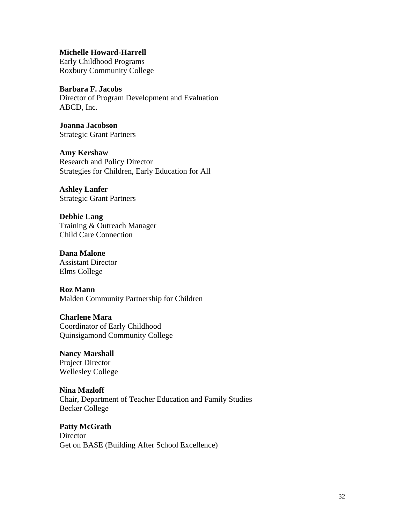**Michelle Howard-Harrell** 

Early Childhood Programs Roxbury Community College

**Barbara F. Jacobs**  Director of Program Development and Evaluation ABCD, Inc.

**Joanna Jacobson**  Strategic Grant Partners

**Amy Kershaw**  Research and Policy Director Strategies for Children, Early Education for All

**Ashley Lanfer**  Strategic Grant Partners

**Debbie Lang**  Training & Outreach Manager Child Care Connection

**Dana Malone**  Assistant Director Elms College

**Roz Mann**  Malden Community Partnership for Children

**Charlene Mara**  Coordinator of Early Childhood Quinsigamond Community College

**Nancy Marshall**  Project Director Wellesley College

**Nina Mazloff**  Chair, Department of Teacher Education and Family Studies Becker College

**Patty McGrath Director** Get on BASE (Building After School Excellence)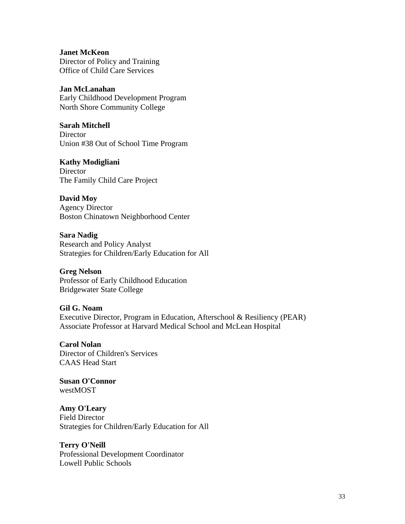**Janet McKeon**  Director of Policy and Training Office of Child Care Services

**Jan McLanahan**  Early Childhood Development Program North Shore Community College

**Sarah Mitchell Director** Union #38 Out of School Time Program

**Kathy Modigliani Director** The Family Child Care Project

**David Moy**  Agency Director Boston Chinatown Neighborhood Center

**Sara Nadig**  Research and Policy Analyst Strategies for Children/Early Education for All

**Greg Nelson**  Professor of Early Childhood Education Bridgewater State College

**Gil G. Noam**  Executive Director, Program in Education, Afterschool & Resiliency (PEAR) Associate Professor at Harvard Medical School and McLean Hospital

**Carol Nolan**  Director of Children's Services CAAS Head Start

**Susan O'Connor**  westMOST

**Amy O'Leary**  Field Director Strategies for Children/Early Education for All

**Terry O'Neill**  Professional Development Coordinator Lowell Public Schools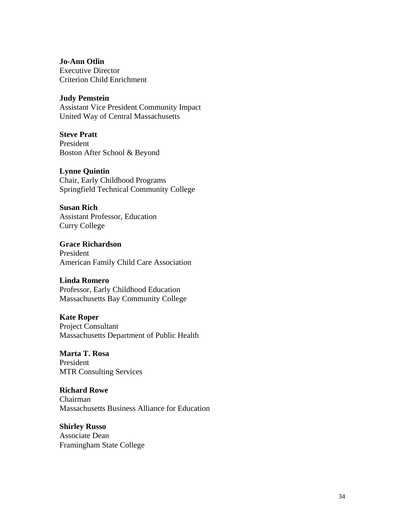**Jo-Ann Otlin**  Executive Director Criterion Child Enrichment

#### **Judy Pemstein**

Assistant Vice President Community Impact United Way of Central Massachusetts

**Steve Pratt** 

President Boston After School & Beyond

#### **Lynne Quintin**

Chair, Early Childhood Programs Springfield Technical Community College

#### **Susan Rich**

Assistant Professor, Education Curry College

**Grace Richardson**  President American Family Child Care Association

#### **Linda Romero**

Professor, Early Childhood Education Massachusetts Bay Community College

#### **Kate Roper**

Project Consultant Massachusetts Department of Public Health

## **Marta T. Rosa**

President MTR Consulting Services

#### **Richard Rowe**

Chairman Massachusetts Business Alliance for Education

#### **Shirley Russo**

Associate Dean Framingham State College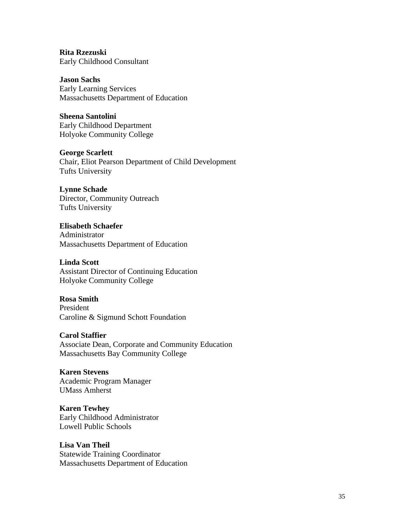**Rita Rzezuski**  Early Childhood Consultant

**Jason Sachs**  Early Learning Services Massachusetts Department of Education

**Sheena Santolini**  Early Childhood Department Holyoke Community College

**George Scarlett**  Chair, Eliot Pearson Department of Child Development Tufts University

**Lynne Schade**  Director, Community Outreach Tufts University

**Elisabeth Schaefer**  Administrator Massachusetts Department of Education

**Linda Scott**  Assistant Director of Continuing Education Holyoke Community College

### **Rosa Smith**  President Caroline & Sigmund Schott Foundation

**Carol Staffier**  Associate Dean, Corporate and Community Education Massachusetts Bay Community College

**Karen Stevens**  Academic Program Manager UMass Amherst

**Karen Tewhey**  Early Childhood Administrator Lowell Public Schools

**Lisa Van Theil**  Statewide Training Coordinator Massachusetts Department of Education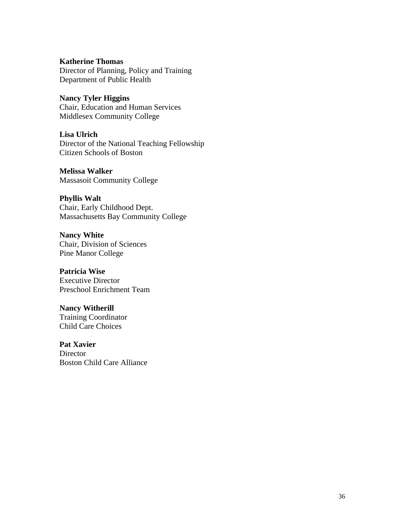#### **Katherine Thomas**

Director of Planning, Policy and Training Department of Public Health

**Nancy Tyler Higgins**  Chair, Education and Human Services

Middlesex Community College

## **Lisa Ulrich**

Director of the National Teaching Fellowship Citizen Schools of Boston

**Melissa Walker** 

Massasoit Community College

#### **Phyllis Walt**

Chair, Early Childhood Dept. Massachusetts Bay Community College

**Nancy White**  Chair, Division of Sciences Pine Manor College

#### **Patricia Wise**  Executive Director

Preschool Enrichment Team

# **Nancy Witherill**  Training Coordinator

Child Care Choices

## **Pat Xavier Director** Boston Child Care Alliance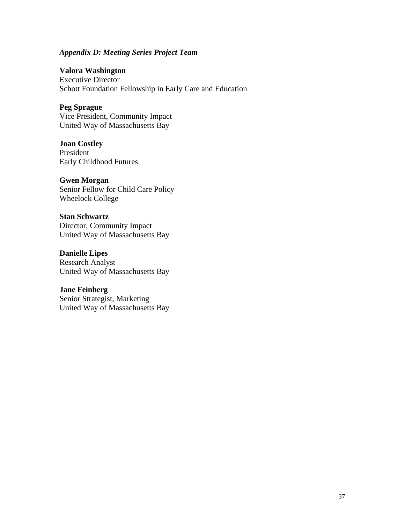#### *Appendix D: Meeting Series Project Team*

**Valora Washington** 

Executive Director Schott Foundation Fellowship in Early Care and Education

#### **Peg Sprague**

Vice President, Community Impact United Way of Massachusetts Bay

**Joan Costley**  President Early Childhood Futures

**Gwen Morgan**  Senior Fellow for Child Care Policy Wheelock College

**Stan Schwartz** Director, Community Impact United Way of Massachusetts Bay

**Danielle Lipes**  Research Analyst United Way of Massachusetts Bay

**Jane Feinberg** Senior Strategist, Marketing United Way of Massachusetts Bay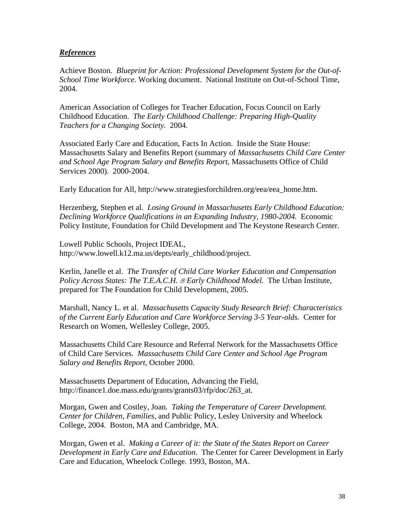## *References*

Achieve Boston. *Blueprint for Action: Professional Development System for the Out-of-School Time Workforce.* Working document. National Institute on Out-of-School Time, 2004.

American Association of Colleges for Teacher Education, Focus Council on Early Childhood Education. *The Early Childhood Challenge: Preparing High-Quality Teachers for a Changing Society.* 2004.

Associated Early Care and Education, Facts In Action. Inside the State House: Massachusetts Salary and Benefits Report (summary of *Massachusetts Child Care Center and School Age Program Salary and Benefits Report*, Massachusetts Office of Child Services 2000). 2000-2004.

Early Education for All, http://www.strategiesforchildren.org/eea/eea\_home.htm.

Herzenberg, Stephen et al. *Losing Ground in Massachusetts Early Childhood Education: Declining Workforce Qualifications in an Expanding Industry, 1980-2004.* Economic Policy Institute, Foundation for Child Development and The Keystone Research Center.

Lowell Public Schools, Project IDEAL, http://www.lowell.k12.ma.us/depts/early\_childhood/project.

Kerlin, Janelle et al. *The Transfer of Child Care Worker Education and Compensation Policy Across States: The T.E.A.C.H.* ® *Early Childhood Model.* The Urban Institute, prepared for The Foundation for Child Development, 2005.

Marshall, Nancy L. et al. *Massachusetts Capacity Study Research Brief: Characteristics of the Current Early Education and Care Workforce Serving 3-5 Year-olds.* Center for Research on Women, Wellesley College, 2005.

Massachusetts Child Care Resource and Referral Network for the Massachusetts Office of Child Care Services. *Massachusetts Child Care Center and School Age Program Salary and Benefits Report*, October 2000.

Massachusetts Department of Education, Advancing the Field, http://finance1.doe.mass.edu/grants/grants03/rfp/doc/263\_at.

Morgan, Gwen and Costley, Joan*. Taking the Temperature of Career Development. Center for Children, Families*, and Public Policy, Lesley University and Wheelock College, 2004. Boston, MA and Cambridge, MA.

Morgan, Gwen et al. *Making a Career of it: the State of the States Report on Career Development in Early Care and Education*. The Center for Career Development in Early Care and Education, Wheelock College. 1993, Boston, MA.